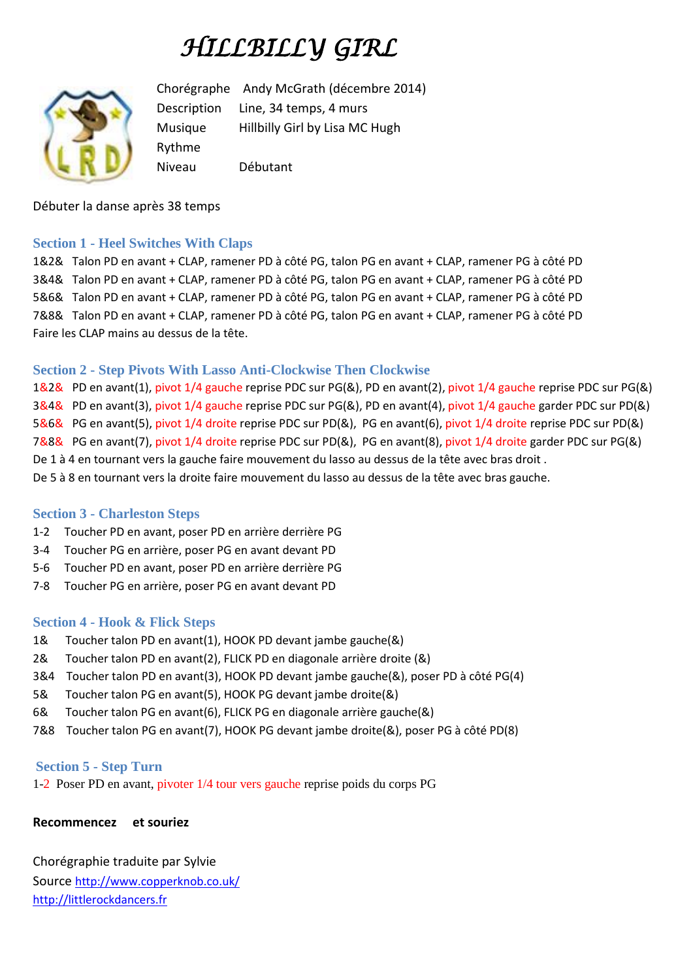# *HILLBILLY GIRL*



Chorégraphe Andy McGrath (décembre 2014) Description Line, 34 temps, 4 murs Musique Hillbilly Girl by Lisa MC Hugh Rythme Niveau Débutant

Débuter la danse après 38 temps

#### **Section 1 - Heel Switches With Claps**

1&2& Talon PD en avant + CLAP, ramener PD à côté PG, talon PG en avant + CLAP, ramener PG à côté PD 3&4& Talon PD en avant + CLAP, ramener PD à côté PG, talon PG en avant + CLAP, ramener PG à côté PD 5&6& Talon PD en avant + CLAP, ramener PD à côté PG, talon PG en avant + CLAP, ramener PG à côté PD 7&8& Talon PD en avant + CLAP, ramener PD à côté PG, talon PG en avant + CLAP, ramener PG à côté PD Faire les CLAP mains au dessus de la tête.

#### **Section 2 - Step Pivots With Lasso Anti-Clockwise Then Clockwise**

1&2& PD en avant(1), pivot 1/4 gauche reprise PDC sur PG(&), PD en avant(2), pivot 1/4 gauche reprise PDC sur PG(&) 3&4& PD en avant(3), pivot 1/4 gauche reprise PDC sur PG(&), PD en avant(4), pivot 1/4 gauche garder PDC sur PD(&) 5&6& PG en avant(5), pivot 1/4 droite reprise PDC sur PD(&), PG en avant(6), pivot 1/4 droite reprise PDC sur PD(&) 7&8& PG en avant(7), pivot 1/4 droite reprise PDC sur PD(&), PG en avant(8), pivot 1/4 droite garder PDC sur PG(&) De 1 à 4 en tournant vers la gauche faire mouvement du lasso au dessus de la tête avec bras droit . De 5 à 8 en tournant vers la droite faire mouvement du lasso au dessus de la tête avec bras gauche.

#### **Section 3 - Charleston Steps**

- 1-2 Toucher PD en avant, poser PD en arrière derrière PG
- 3-4 Toucher PG en arrière, poser PG en avant devant PD
- 5-6 Toucher PD en avant, poser PD en arrière derrière PG
- 7-8 Toucher PG en arrière, poser PG en avant devant PD

#### **Section 4 - Hook & Flick Steps**

- 1& Toucher talon PD en avant(1), HOOK PD devant jambe gauche(&)
- 2& Toucher talon PD en avant(2), FLICK PD en diagonale arrière droite (&)
- 3&4 Toucher talon PD en avant(3), HOOK PD devant jambe gauche(&), poser PD à côté PG(4)
- 5& Toucher talon PG en avant(5), HOOK PG devant jambe droite(&)
- 6& Toucher talon PG en avant(6), FLICK PG en diagonale arrière gauche(&)
- 7&8 Toucher talon PG en avant(7), HOOK PG devant jambe droite(&), poser PG à côté PD(8)

# **Section 5 - Step Turn**

1-2 Poser PD en avant, pivoter 1/4 tour vers gauche reprise poids du corps PG

# **Recommencez et souriez**

Chorégraphie traduite par Sylvie Source <http://www.copperknob.co.uk/> [http://littlerockdancers.fr](http://littlerockdancers.fr/)